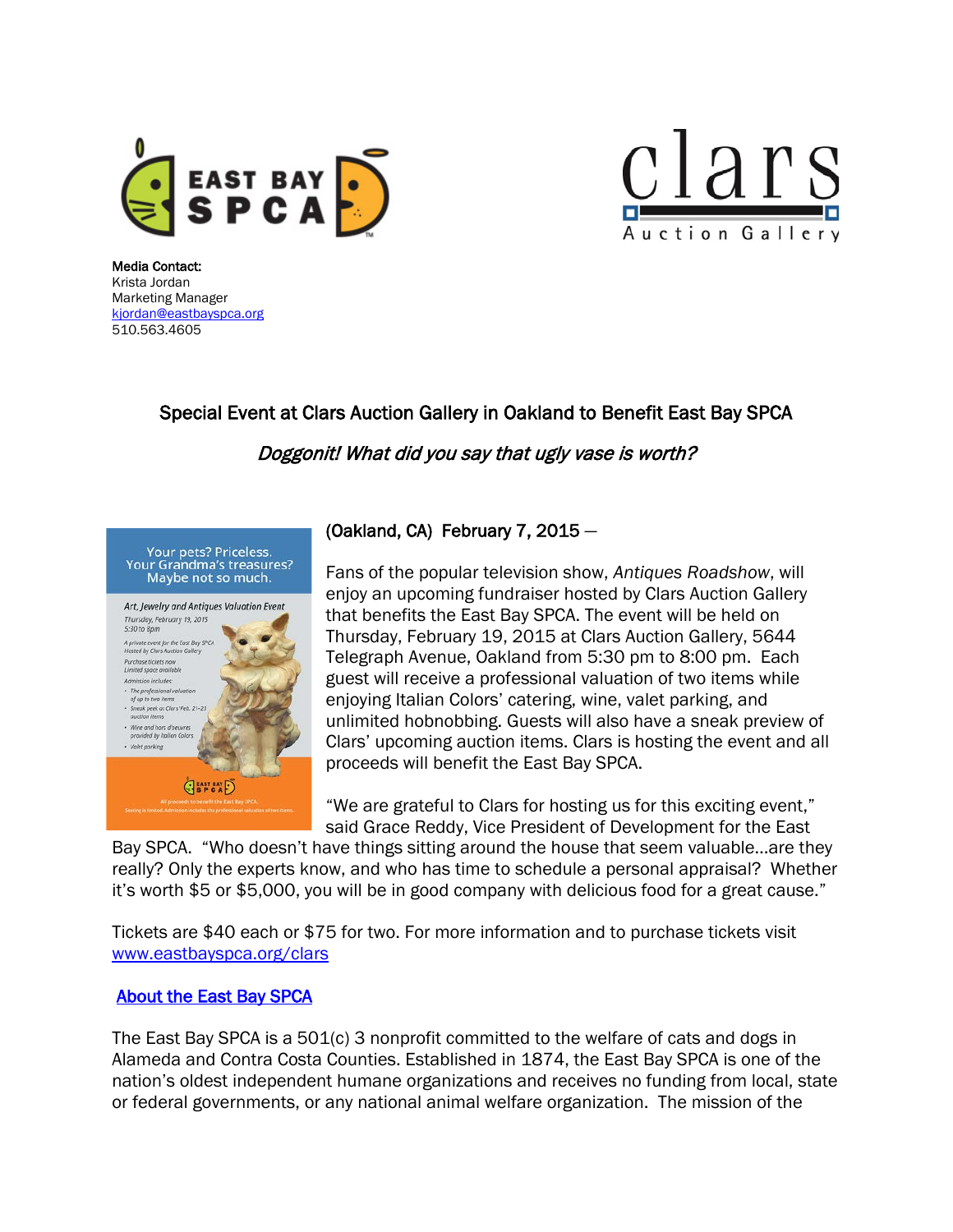



Media Contact: Krista Jordan Marketing Manager [kjordan@eastbayspca.org](mailto:kjordan@eastbayspca.org) 510.563.4605

## Special Event at Clars Auction Gallery in Oakland to Benefit East Bay SPCA

Doggonit! What did you say that ugly vase is worth?



## (Oakland, CA) February 7, 2015 —

Fans of the popular television show, *Antiques Roadshow*, will enjoy an upcoming fundraiser hosted by Clars Auction Gallery that benefits the East Bay SPCA. The event will be held on Thursday, February 19, 2015 at Clars Auction Gallery, 5644 Telegraph Avenue, Oakland from 5:30 pm to 8:00 pm. Each guest will receive a professional valuation of two items while enjoying Italian Colors' catering, wine, valet parking, and unlimited hobnobbing. Guests will also have a sneak preview of Clars' upcoming auction items. Clars is hosting the event and all proceeds will benefit the East Bay SPCA.

"We are grateful to Clars for hosting us for this exciting event," said Grace Reddy, Vice President of Development for the East

Bay SPCA. "Who doesn't have things sitting around the house that seem valuable…are they really? Only the experts know, and who has time to schedule a personal appraisal? Whether it's worth \$5 or \$5,000, you will be in good company with delicious food for a great cause."

Tickets are \$40 each or \$75 for two. For more information and to purchase tickets visit [www.eastbayspca.org/clars](http://www.eastbayspca.org/clars)

## [About the East Bay SPCA](http://www.eastbayspca.org/)

The East Bay SPCA is a 501(c) 3 nonprofit committed to the welfare of cats and dogs in Alameda and Contra Costa Counties. Established in 1874, the East Bay SPCA is one of the nation's oldest independent humane organizations and receives no funding from local, state or federal governments, or any national animal welfare organization. The mission of the